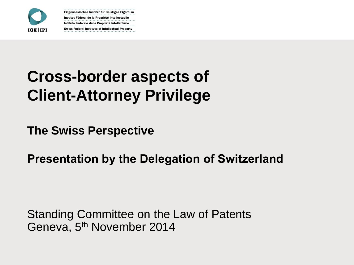

# **Cross-border aspects of Client-Attorney Privilege**

**The Swiss Perspective**

**Presentation by the Delegation of Switzerland**

Standing Committee on the Law of Patents Geneva, 5<sup>th</sup> November 2014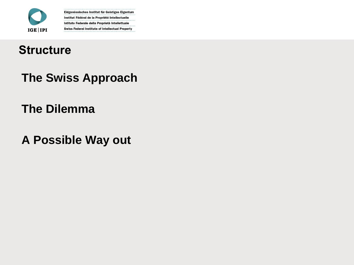

#### **Structure**

**The Swiss Approach**

#### **The Dilemma**

**A Possible Way out**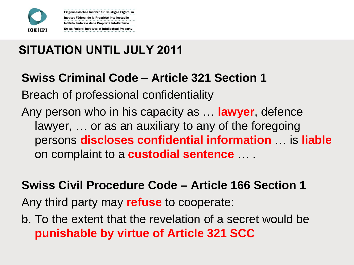

**SITUATION UNTIL JULY 2011**

Eidgenössisches Institut für Geistiges Eigentum Institut Fédéral de la Propriété Intellectuelle Istituto Federale della Proprietà Intellettuale **Swiss Federal Institute of Intellectual Property** 

#### **Swiss Criminal Code – Article 321 Section 1**

Breach of professional confidentiality

Any person who in his capacity as … **lawyer**, defence lawyer, … or as an auxiliary to any of the foregoing persons **discloses confidential information** … is **liable** on complaint to a **custodial sentence** … .

#### **Swiss Civil Procedure Code – Article 166 Section 1**

Any third party may **refuse** to cooperate:

b. To the extent that the revelation of a secret would be **punishable by virtue of Article 321 SCC**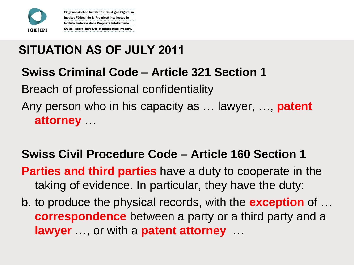

**SITUATION AS OF JULY 2011**

Eidgenössisches Institut für Geistiges Eigentum Institut Fédéral de la Propriété Intellectuelle Istituto Federale della Proprietà Intellettuale **Swiss Federal Institute of Intellectual Property** 

### **Swiss Criminal Code – Article 321 Section 1**

Breach of professional confidentiality

Any person who in his capacity as … lawyer, …, **patent attorney** …

### **Swiss Civil Procedure Code – Article 160 Section 1**

**Parties and third parties** have a duty to cooperate in the taking of evidence. In particular, they have the duty:

b. to produce the physical records, with the **exception** of … **correspondence** between a party or a third party and a **lawyer** …, or with a **patent attorney** …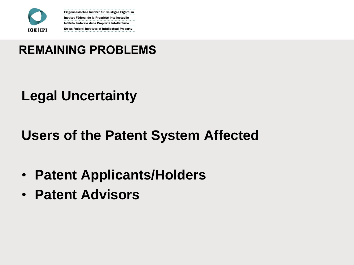

### **REMAINING PROBLEMS**

### **Legal Uncertainty**

### **Users of the Patent System Affected**

- **Patent Applicants/Holders**
- **Patent Advisors**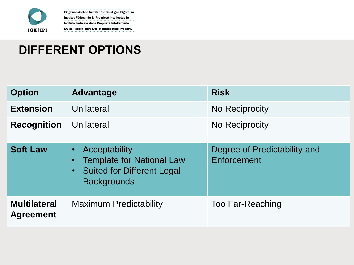

### **DIFFERENT OPTIONS**

| <b>Option</b>                           | Advantage                                                                                                                                           | <b>Risk</b>                                 |
|-----------------------------------------|-----------------------------------------------------------------------------------------------------------------------------------------------------|---------------------------------------------|
| <b>Extension</b>                        | Unilateral                                                                                                                                          | No Reciprocity                              |
| <b>Recognition</b>                      | Unilateral                                                                                                                                          | No Reciprocity                              |
| <b>Soft Law</b>                         | Acceptability<br>$\bullet$<br><b>Template for National Law</b><br>$\bullet$<br><b>Suited for Different Legal</b><br>$\bullet$<br><b>Backgrounds</b> | Degree of Predictability and<br>Enforcement |
| <b>Multilateral</b><br><b>Agreement</b> | <b>Maximum Predictability</b>                                                                                                                       | <b>Too Far-Reaching</b>                     |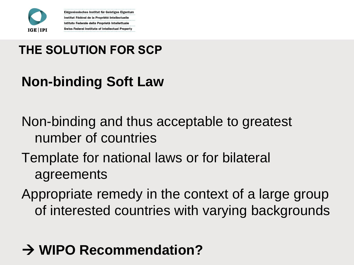

### **THE SOLUTION FOR SCP**

Eidgenössisches Institut für Geistiges Eigentum Institut Fédéral de la Propriété Intellectuelle Istituto Federale della Proprietà Intellettuale **Swiss Federal Institute of Intellectual Property** 

## **Non-binding Soft Law**

Non-binding and thus acceptable to greatest number of countries

Template for national laws or for bilateral agreements

Appropriate remedy in the context of a large group of interested countries with varying backgrounds

## **→ WIPO Recommendation?**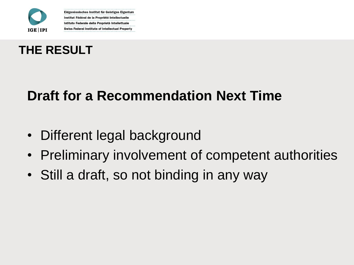



### **Draft for a Recommendation Next Time**

- Different legal background
- Preliminary involvement of competent authorities
- Still a draft, so not binding in any way